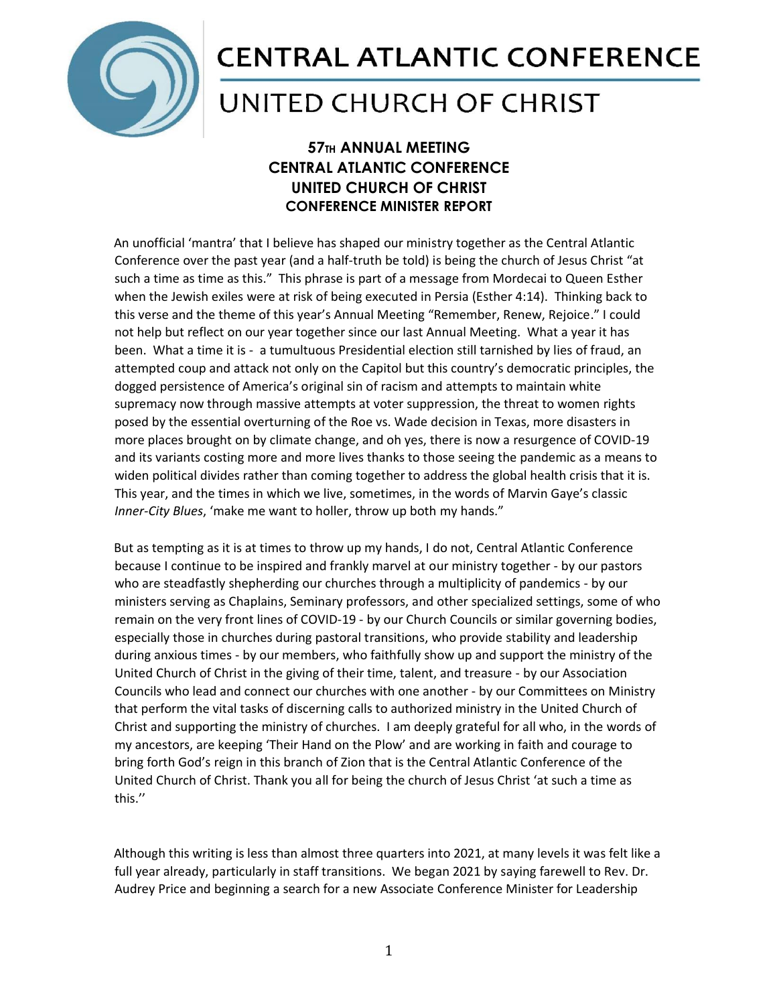

## **CENTRAL ATLANTIC CONFERENCE**

## UNITED CHURCH OF CHRIST

## **57TH ANNUAL MEETING CENTRAL ATLANTIC CONFERENCE UNITED CHURCH OF CHRIST CONFERENCE MINISTER REPORT**

An unofficial 'mantra' that I believe has shaped our ministry together as the Central Atlantic Conference over the past year (and a half-truth be told) is being the church of Jesus Christ "at such a time as time as this." This phrase is part of a message from Mordecai to Queen Esther when the Jewish exiles were at risk of being executed in Persia (Esther 4:14). Thinking back to this verse and the theme of this year's Annual Meeting "Remember, Renew, Rejoice." I could not help but reflect on our year together since our last Annual Meeting. What a year it has been. What a time it is - a tumultuous Presidential election still tarnished by lies of fraud, an attempted coup and attack not only on the Capitol but this country's democratic principles, the dogged persistence of America's original sin of racism and attempts to maintain white supremacy now through massive attempts at voter suppression, the threat to women rights posed by the essential overturning of the Roe vs. Wade decision in Texas, more disasters in more places brought on by climate change, and oh yes, there is now a resurgence of COVID-19 and its variants costing more and more lives thanks to those seeing the pandemic as a means to widen political divides rather than coming together to address the global health crisis that it is. This year, and the times in which we live, sometimes, in the words of Marvin Gaye's classic *Inner-City Blues*, 'make me want to holler, throw up both my hands."

But as tempting as it is at times to throw up my hands, I do not, Central Atlantic Conference because I continue to be inspired and frankly marvel at our ministry together - by our pastors who are steadfastly shepherding our churches through a multiplicity of pandemics - by our ministers serving as Chaplains, Seminary professors, and other specialized settings, some of who remain on the very front lines of COVID-19 - by our Church Councils or similar governing bodies, especially those in churches during pastoral transitions, who provide stability and leadership during anxious times - by our members, who faithfully show up and support the ministry of the United Church of Christ in the giving of their time, talent, and treasure - by our Association Councils who lead and connect our churches with one another - by our Committees on Ministry that perform the vital tasks of discerning calls to authorized ministry in the United Church of Christ and supporting the ministry of churches. I am deeply grateful for all who, in the words of my ancestors, are keeping 'Their Hand on the Plow' and are working in faith and courage to bring forth God's reign in this branch of Zion that is the Central Atlantic Conference of the United Church of Christ. Thank you all for being the church of Jesus Christ 'at such a time as this.''

Although this writing is less than almost three quarters into 2021, at many levels it was felt like a full year already, particularly in staff transitions. We began 2021 by saying farewell to Rev. Dr. Audrey Price and beginning a search for a new Associate Conference Minister for Leadership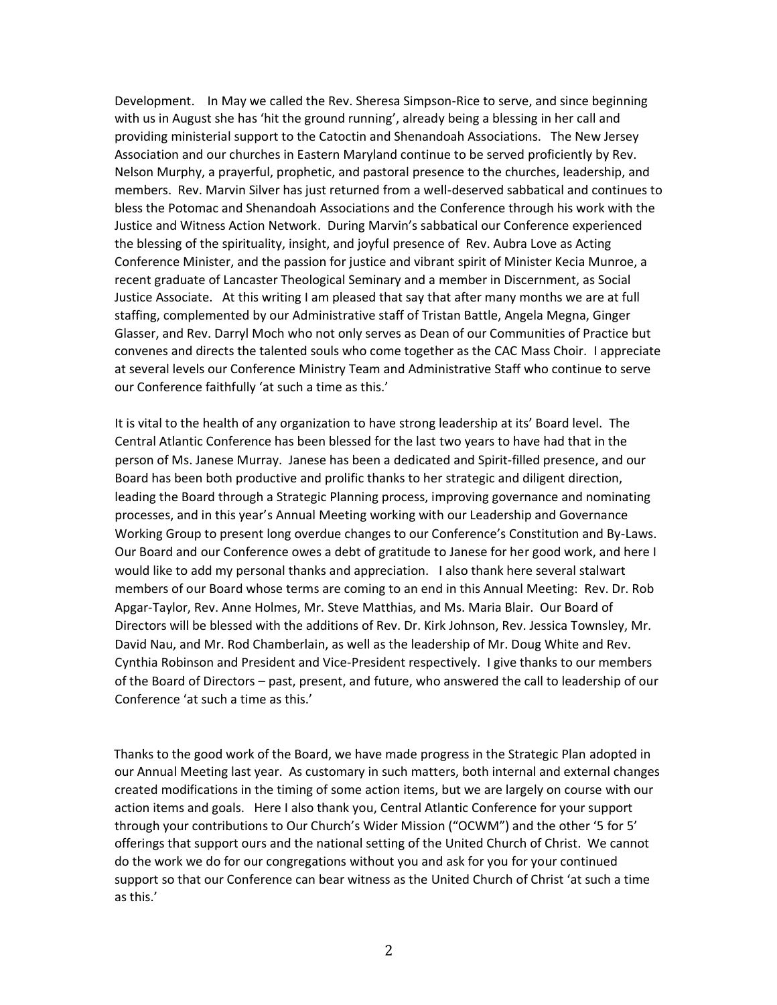Development. In May we called the Rev. Sheresa Simpson-Rice to serve, and since beginning with us in August she has 'hit the ground running', already being a blessing in her call and providing ministerial support to the Catoctin and Shenandoah Associations. The New Jersey Association and our churches in Eastern Maryland continue to be served proficiently by Rev. Nelson Murphy, a prayerful, prophetic, and pastoral presence to the churches, leadership, and members. Rev. Marvin Silver has just returned from a well-deserved sabbatical and continues to bless the Potomac and Shenandoah Associations and the Conference through his work with the Justice and Witness Action Network. During Marvin's sabbatical our Conference experienced the blessing of the spirituality, insight, and joyful presence of Rev. Aubra Love as Acting Conference Minister, and the passion for justice and vibrant spirit of Minister Kecia Munroe, a recent graduate of Lancaster Theological Seminary and a member in Discernment, as Social Justice Associate. At this writing I am pleased that say that after many months we are at full staffing, complemented by our Administrative staff of Tristan Battle, Angela Megna, Ginger Glasser, and Rev. Darryl Moch who not only serves as Dean of our Communities of Practice but convenes and directs the talented souls who come together as the CAC Mass Choir. I appreciate at several levels our Conference Ministry Team and Administrative Staff who continue to serve our Conference faithfully 'at such a time as this.'

It is vital to the health of any organization to have strong leadership at its' Board level. The Central Atlantic Conference has been blessed for the last two years to have had that in the person of Ms. Janese Murray. Janese has been a dedicated and Spirit-filled presence, and our Board has been both productive and prolific thanks to her strategic and diligent direction, leading the Board through a Strategic Planning process, improving governance and nominating processes, and in this year's Annual Meeting working with our Leadership and Governance Working Group to present long overdue changes to our Conference's Constitution and By-Laws. Our Board and our Conference owes a debt of gratitude to Janese for her good work, and here I would like to add my personal thanks and appreciation. I also thank here several stalwart members of our Board whose terms are coming to an end in this Annual Meeting: Rev. Dr. Rob Apgar-Taylor, Rev. Anne Holmes, Mr. Steve Matthias, and Ms. Maria Blair. Our Board of Directors will be blessed with the additions of Rev. Dr. Kirk Johnson, Rev. Jessica Townsley, Mr. David Nau, and Mr. Rod Chamberlain, as well as the leadership of Mr. Doug White and Rev. Cynthia Robinson and President and Vice-President respectively. I give thanks to our members of the Board of Directors – past, present, and future, who answered the call to leadership of our Conference 'at such a time as this.'

Thanks to the good work of the Board, we have made progress in the Strategic Plan adopted in our Annual Meeting last year. As customary in such matters, both internal and external changes created modifications in the timing of some action items, but we are largely on course with our action items and goals. Here I also thank you, Central Atlantic Conference for your support through your contributions to Our Church's Wider Mission ("OCWM") and the other '5 for 5' offerings that support ours and the national setting of the United Church of Christ. We cannot do the work we do for our congregations without you and ask for you for your continued support so that our Conference can bear witness as the United Church of Christ 'at such a time as this.'